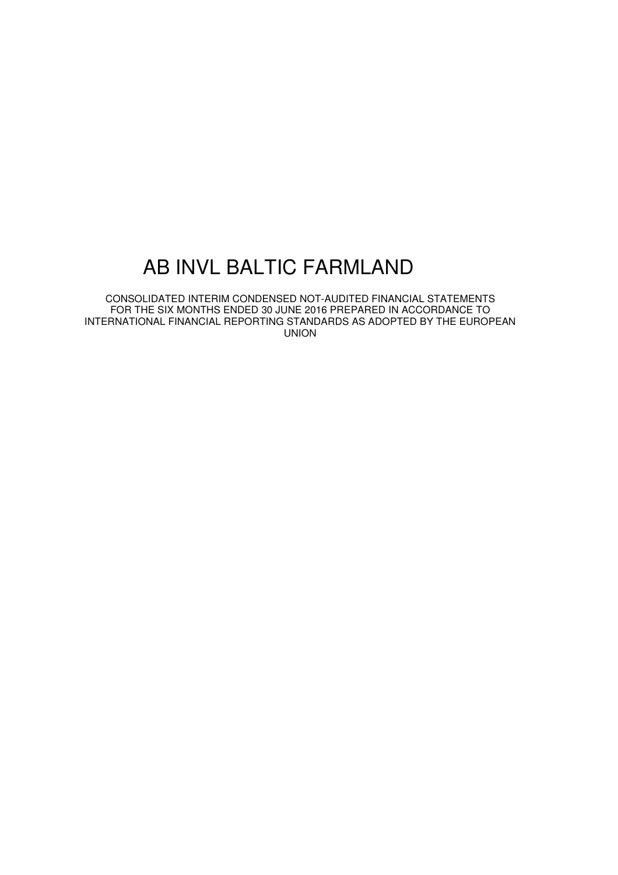# AB INVL BALTIC FARMLAND

CONSOLIDATED INTERIM CONDENSED NOT-AUDITED FINANCIAL STATEMENTS FOR THE SIX MONTHS ENDED 30 JUNE 2016 PREPARED IN ACCORDANCE TO INTERNATIONAL FINANCIAL REPORTING STANDARDS AS ADOPTED BY THE EUROPEAN UNION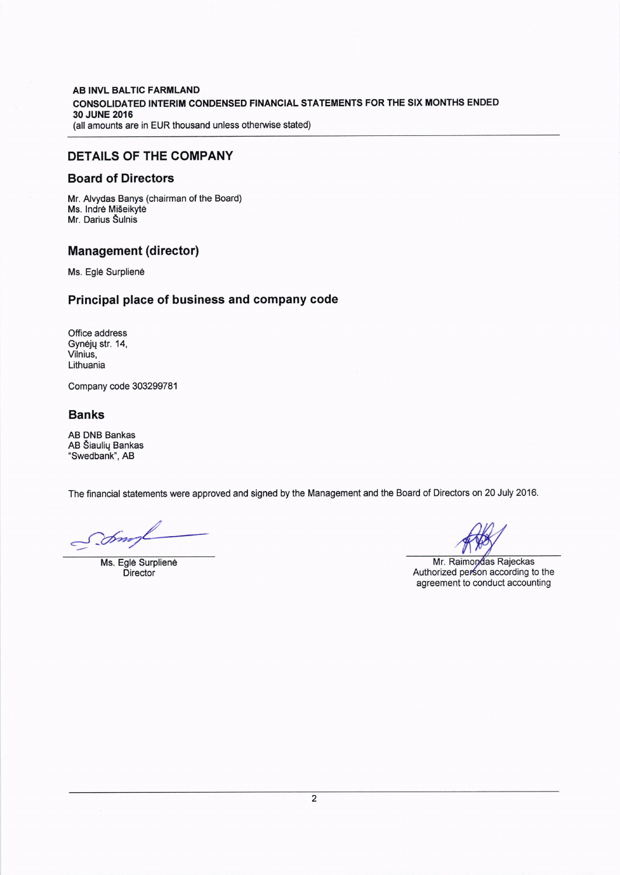AB INVL BALTIC FARMLAND CONSOLIDATED INTERIM CONDENSED FINANCIAL STATEMENTS FOR THE SIX MONTHS ENDED 30 JUNE 2016 (all amounts are in EUR thousand unless otherwise stated)

### DETAILS OF THE COMPANY

#### Board of Directors

Mr. Alvydas Banys (chairman of the Board) Ms. Indrė Mišeikytė Mr. Darius Sulnis

### Management (director)

Ms. Eglé Surpliené

### Principal place of business and company code

Office address Gynėjų str. 14, Vilnius, Lithuania

Company code 303299781

### Banks

AB DNB Bankas AB Siauliq Bankas "Swedbank", AB

The financial statements were approved and signed by the Management and the Board of Directors on 20 July 2016.

Sm

Ms. Eglé Surpliené **Director** 

Mr. Raimondas Rajeckas Authorized person according to the agreement to conduct accounting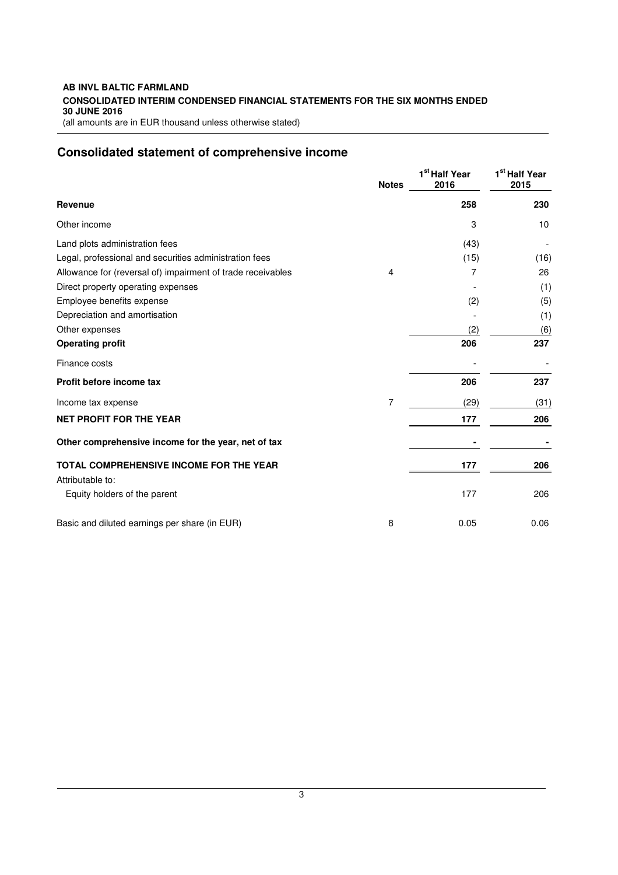#### **AB INVL BALTIC FARMLAND CONSOLIDATED INTERIM CONDENSED FINANCIAL STATEMENTS FOR THE SIX MONTHS ENDED 30 JUNE 2016**  (all amounts are in EUR thousand unless otherwise stated)

# **Consolidated statement of comprehensive income**

|                                                             | <b>Notes</b> | 1 <sup>st</sup> Half Year<br>2016 | 1 <sup>st</sup> Half Year<br>2015 |
|-------------------------------------------------------------|--------------|-----------------------------------|-----------------------------------|
| <b>Revenue</b>                                              |              | 258                               | 230                               |
| Other income                                                |              | 3                                 | 10                                |
| Land plots administration fees                              |              | (43)                              |                                   |
| Legal, professional and securities administration fees      |              | (15)                              | (16)                              |
| Allowance for (reversal of) impairment of trade receivables | 4            | 7                                 | 26                                |
| Direct property operating expenses                          |              |                                   | (1)                               |
| Employee benefits expense                                   |              | (2)                               | (5)                               |
| Depreciation and amortisation                               |              |                                   | (1)                               |
| Other expenses                                              |              | (2)                               | (6)                               |
| <b>Operating profit</b>                                     |              | 206                               | 237                               |
| Finance costs                                               |              |                                   |                                   |
| Profit before income tax                                    |              | 206                               | 237                               |
| Income tax expense                                          | 7            | (29)                              | (31)                              |
| <b>NET PROFIT FOR THE YEAR</b>                              |              | 177                               | 206                               |
| Other comprehensive income for the year, net of tax         |              |                                   |                                   |
| <b>TOTAL COMPREHENSIVE INCOME FOR THE YEAR</b>              |              | 177                               | 206                               |
| Attributable to:                                            |              |                                   |                                   |
| Equity holders of the parent                                |              | 177                               | 206                               |
| Basic and diluted earnings per share (in EUR)               | 8            | 0.05                              | 0.06                              |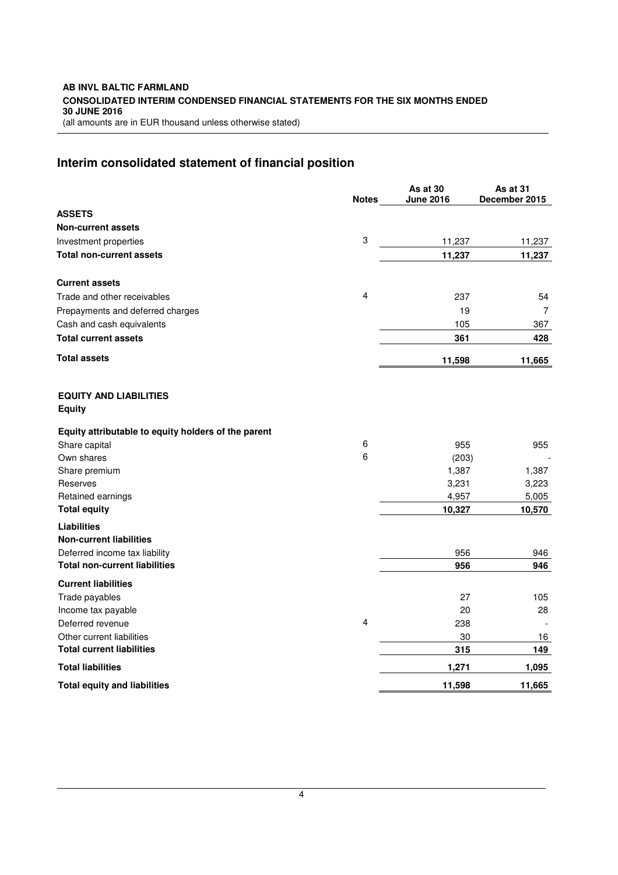# **Interim consolidated statement of financial position**

|                                                      | <b>Notes</b> | As at 30<br><b>June 2016</b> | As at 31<br>December 2015 |
|------------------------------------------------------|--------------|------------------------------|---------------------------|
| <b>ASSETS</b>                                        |              |                              |                           |
| <b>Non-current assets</b>                            |              |                              |                           |
| Investment properties                                | 3            | 11,237                       | 11,237                    |
| <b>Total non-current assets</b>                      |              | 11,237                       | 11,237                    |
| <b>Current assets</b>                                |              |                              |                           |
| Trade and other receivables                          | 4            | 237                          | 54                        |
| Prepayments and deferred charges                     |              | 19                           | $\overline{7}$            |
| Cash and cash equivalents                            |              | 105                          | 367                       |
| <b>Total current assets</b>                          |              | 361                          | 428                       |
| <b>Total assets</b>                                  |              | 11,598                       | 11,665                    |
| <b>EQUITY AND LIABILITIES</b><br><b>Equity</b>       |              |                              |                           |
| Equity attributable to equity holders of the parent  |              |                              |                           |
| Share capital                                        | 6            | 955                          | 955                       |
| Own shares                                           | 6            | (203)                        |                           |
| Share premium                                        |              | 1,387                        | 1,387                     |
| Reserves                                             |              | 3,231                        | 3,223                     |
| Retained earnings                                    |              | 4,957                        | 5,005                     |
| <b>Total equity</b>                                  |              | 10,327                       | 10,570                    |
| <b>Liabilities</b><br><b>Non-current liabilities</b> |              |                              |                           |
| Deferred income tax liability                        |              | 956                          | 946                       |
| <b>Total non-current liabilities</b>                 |              | 956                          | 946                       |
| <b>Current liabilities</b>                           |              |                              |                           |
| Trade payables                                       |              | 27                           | 105                       |
| Income tax payable                                   |              | 20                           | 28                        |
| Deferred revenue                                     | 4            | 238                          |                           |
| Other current liabilities                            |              | 30                           | 16                        |
| <b>Total current liabilities</b>                     |              | 315                          | 149                       |
| <b>Total liabilities</b>                             |              | 1,271                        | 1,095                     |
| <b>Total equity and liabilities</b>                  |              | 11,598                       | 11,665                    |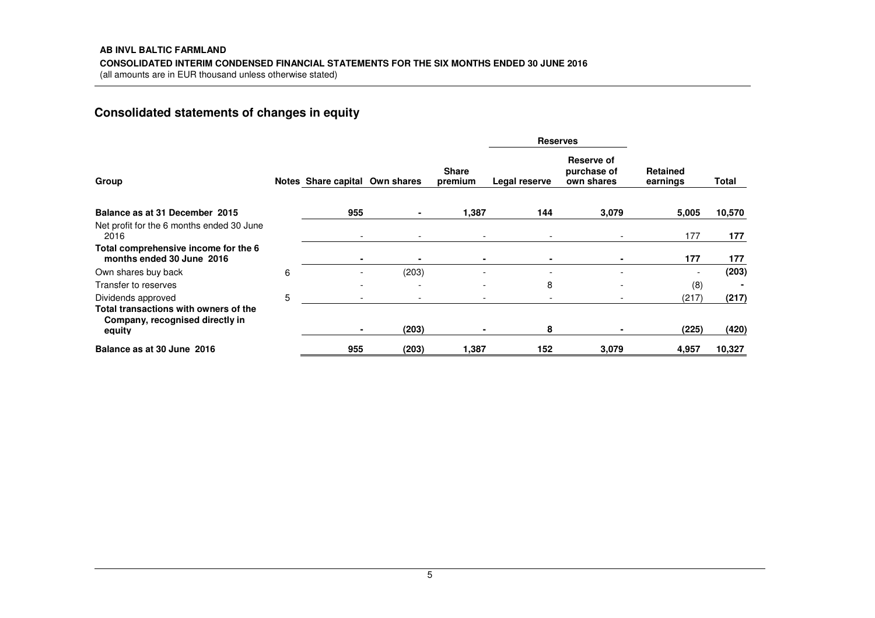# **Consolidated statements of changes in equity**

|                                                                                    |   |                                |                |                          | <b>Reserves</b>          |                                         |                             |        |
|------------------------------------------------------------------------------------|---|--------------------------------|----------------|--------------------------|--------------------------|-----------------------------------------|-----------------------------|--------|
| Group                                                                              |   | Notes Share capital Own shares |                | <b>Share</b><br>premium  | Legal reserve            | Reserve of<br>purchase of<br>own shares | <b>Retained</b><br>earnings | Total  |
| Balance as at 31 December 2015                                                     |   | 955                            |                | 1,387                    | 144                      | 3,079                                   | 5,005                       | 10,570 |
| Net profit for the 6 months ended 30 June<br>2016                                  |   | $\overline{\phantom{a}}$       |                | $\overline{\phantom{a}}$ | $\overline{\phantom{a}}$ | $\overline{\phantom{a}}$                | 177                         | 177    |
| Total comprehensive income for the 6<br>months ended 30 June 2016                  |   |                                | $\blacksquare$ |                          | ۰                        | $\blacksquare$                          | 177                         | 177    |
| Own shares buy back                                                                | 6 |                                | (203)          |                          | $\qquad \qquad -$        |                                         |                             | (203)  |
| Transfer to reserves                                                               |   |                                |                | $\overline{\phantom{a}}$ | 8                        | $\overline{\phantom{0}}$                | (8)                         |        |
| Dividends approved                                                                 | 5 |                                |                |                          |                          |                                         | (217)                       | (217)  |
| Total transactions with owners of the<br>Company, recognised directly in<br>equity |   |                                | (203)          |                          | 8                        |                                         | (225)                       | (420)  |
| Balance as at 30 June 2016                                                         |   | 955                            | (203)          | 1,387                    | 152                      | 3,079                                   | 4,957                       | 10,327 |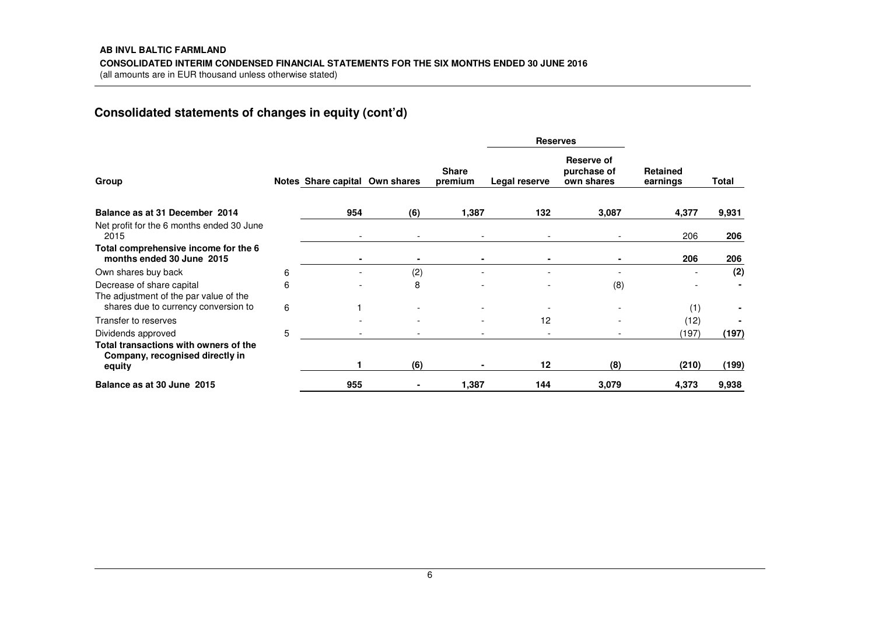# **Consolidated statements of changes in equity (cont'd)**

|                                                                                    |   |                                |     |                         |                | <b>Reserves</b>                         |                             |       |
|------------------------------------------------------------------------------------|---|--------------------------------|-----|-------------------------|----------------|-----------------------------------------|-----------------------------|-------|
| Group                                                                              |   | Notes Share capital Own shares |     | <b>Share</b><br>premium | Legal reserve  | Reserve of<br>purchase of<br>own shares | <b>Retained</b><br>earnings | Total |
| Balance as at 31 December 2014                                                     |   | 954                            | (6) | 1,387                   | 132            | 3,087                                   | 4,377                       | 9,931 |
| Net profit for the 6 months ended 30 June<br>2015                                  |   |                                |     |                         |                |                                         | 206                         | 206   |
| Total comprehensive income for the 6<br>months ended 30 June 2015                  |   |                                | ٠   |                         |                |                                         | 206                         | 206   |
| Own shares buy back                                                                | 6 |                                | (2) |                         |                |                                         |                             | (2)   |
| Decrease of share capital<br>The adjustment of the par value of the                | 6 |                                | 8   |                         |                | (8)                                     |                             |       |
| shares due to currency conversion to                                               | 6 |                                |     |                         |                |                                         | (1)                         |       |
| Transfer to reserves                                                               |   |                                |     |                         | 12             |                                         | (12)                        |       |
| Dividends approved                                                                 | 5 |                                |     |                         | $\overline{a}$ |                                         | (197)                       | (197) |
| Total transactions with owners of the<br>Company, recognised directly in<br>equity |   |                                | (6) |                         | 12             | (8)                                     | (210)                       | (199) |
| Balance as at 30 June 2015                                                         |   | 955                            |     | 1,387                   | 144            | 3,079                                   | 4,373                       | 9,938 |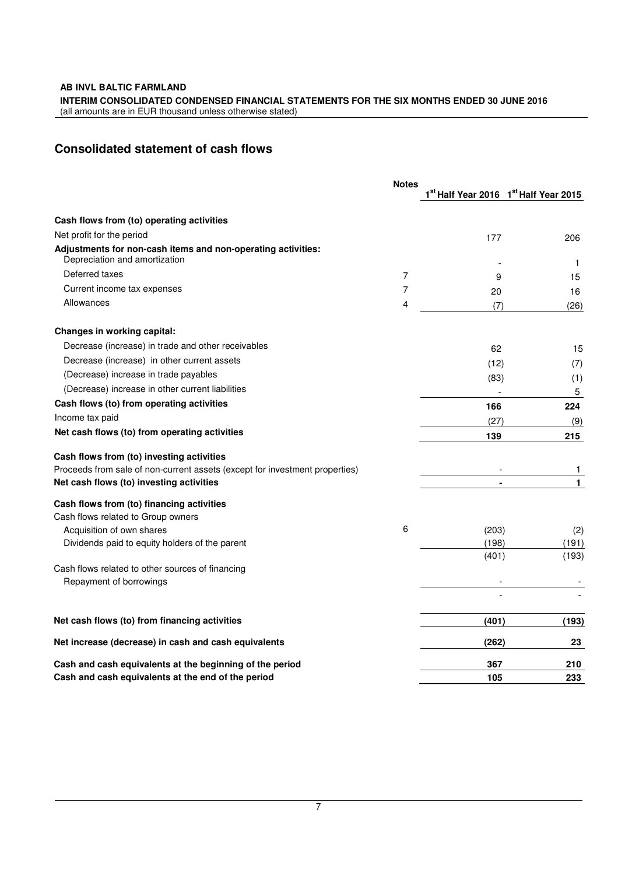**AB INVL BALTIC FARMLAND** 

**INTERIM CONSOLIDATED CONDENSED FINANCIAL STATEMENTS FOR THE SIX MONTHS ENDED 30 JUNE 2016** 

(all amounts are in EUR thousand unless otherwise stated)

# **Consolidated statement of cash flows**

|                                                                                               | <b>Notes</b> |                | 1 <sup>st</sup> Half Year 2016 1 <sup>st</sup> Half Year 2015 |
|-----------------------------------------------------------------------------------------------|--------------|----------------|---------------------------------------------------------------|
|                                                                                               |              |                |                                                               |
| Cash flows from (to) operating activities                                                     |              |                |                                                               |
| Net profit for the period                                                                     |              | 177            | 206                                                           |
| Adjustments for non-cash items and non-operating activities:<br>Depreciation and amortization |              |                | 1                                                             |
| Deferred taxes                                                                                | 7            | 9              | 15                                                            |
| Current income tax expenses                                                                   | 7            | 20             | 16                                                            |
| Allowances                                                                                    | 4            | (7)            | (26)                                                          |
| Changes in working capital:                                                                   |              |                |                                                               |
| Decrease (increase) in trade and other receivables                                            |              | 62             | 15                                                            |
| Decrease (increase) in other current assets                                                   |              | (12)           | (7)                                                           |
| (Decrease) increase in trade payables                                                         |              | (83)           | (1)                                                           |
| (Decrease) increase in other current liabilities                                              |              |                | 5                                                             |
| Cash flows (to) from operating activities                                                     |              | 166            | 224                                                           |
| Income tax paid                                                                               |              | (27)           | (9)                                                           |
| Net cash flows (to) from operating activities                                                 |              | 139            | 215                                                           |
| Cash flows from (to) investing activities                                                     |              |                |                                                               |
| Proceeds from sale of non-current assets (except for investment properties)                   |              |                | 1                                                             |
| Net cash flows (to) investing activities                                                      |              |                | 1                                                             |
| Cash flows from (to) financing activities                                                     |              |                |                                                               |
| Cash flows related to Group owners                                                            |              |                |                                                               |
| Acquisition of own shares                                                                     | 6            | (203)          | (2)                                                           |
| Dividends paid to equity holders of the parent                                                |              | (198)<br>(401) | (191)<br>(193)                                                |
| Cash flows related to other sources of financing                                              |              |                |                                                               |
| Repayment of borrowings                                                                       |              |                |                                                               |
|                                                                                               |              |                |                                                               |
| Net cash flows (to) from financing activities                                                 |              | (401)          | (193)                                                         |
| Net increase (decrease) in cash and cash equivalents                                          |              | (262)          | 23                                                            |
| Cash and cash equivalents at the beginning of the period                                      |              | 367            | 210                                                           |
| Cash and cash equivalents at the end of the period                                            |              | 105            | 233                                                           |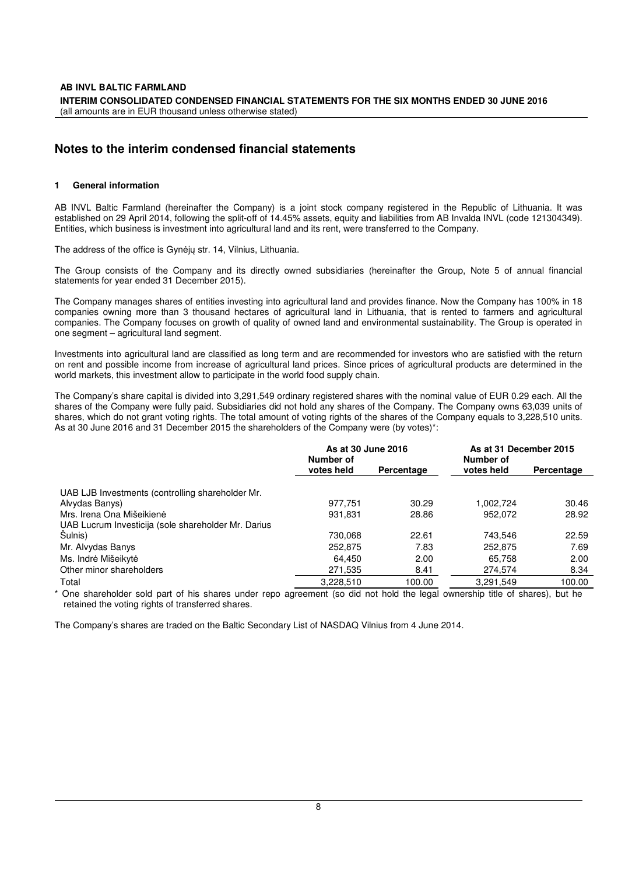## **Notes to the interim condensed financial statements**

#### **1 General information**

AB INVL Baltic Farmland (hereinafter the Company) is a joint stock company registered in the Republic of Lithuania. It was established on 29 April 2014, following the split-off of 14.45% assets, equity and liabilities from AB Invalda INVL (code 121304349). Entities, which business is investment into agricultural land and its rent, were transferred to the Company.

The address of the office is Gynėjų str. 14, Vilnius, Lithuania.

The Group consists of the Company and its directly owned subsidiaries (hereinafter the Group, Note 5 of annual financial statements for year ended 31 December 2015).

The Company manages shares of entities investing into agricultural land and provides finance. Now the Company has 100% in 18 companies owning more than 3 thousand hectares of agricultural land in Lithuania, that is rented to farmers and agricultural companies. The Company focuses on growth of quality of owned land and environmental sustainability. The Group is operated in one segment – agricultural land segment.

Investments into agricultural land are classified as long term and are recommended for investors who are satisfied with the return on rent and possible income from increase of agricultural land prices. Since prices of agricultural products are determined in the world markets, this investment allow to participate in the world food supply chain.

The Company's share capital is divided into 3,291,549 ordinary registered shares with the nominal value of EUR 0.29 each. All the shares of the Company were fully paid. Subsidiaries did not hold any shares of the Company. The Company owns 63,039 units of shares, which do not grant voting rights. The total amount of voting rights of the shares of the Company equals to 3,228,510 units. As at 30 June 2016 and 31 December 2015 the shareholders of the Company were (by votes)\*:

|                                                     | As at 30 June 2016<br>Number of |            | As at 31 December 2015<br>Number of |            |
|-----------------------------------------------------|---------------------------------|------------|-------------------------------------|------------|
|                                                     | votes held                      | Percentage | votes held                          | Percentage |
| UAB LJB Investments (controlling shareholder Mr.    |                                 |            |                                     |            |
| Alvydas Banys)                                      | 977.751                         | 30.29      | 1.002.724                           | 30.46      |
| Mrs. Irena Ona Mišeikienė                           | 931,831                         | 28.86      | 952,072                             | 28.92      |
| UAB Lucrum Investicija (sole shareholder Mr. Darius |                                 |            |                                     |            |
| Sulnis)                                             | 730,068                         | 22.61      | 743.546                             | 22.59      |
| Mr. Alvydas Banys                                   | 252,875                         | 7.83       | 252,875                             | 7.69       |
| Ms. Indrė Mišeikytė                                 | 64.450                          | 2.00       | 65.758                              | 2.00       |
| Other minor shareholders                            | 271,535                         | 8.41       | 274,574                             | 8.34       |
| Total                                               | 3,228,510                       | 100.00     | 3.291.549                           | 100.00     |

\* One shareholder sold part of his shares under repo agreement (so did not hold the legal ownership title of shares), but he retained the voting rights of transferred shares.

The Company's shares are traded on the Baltic Secondary List of NASDAQ Vilnius from 4 June 2014.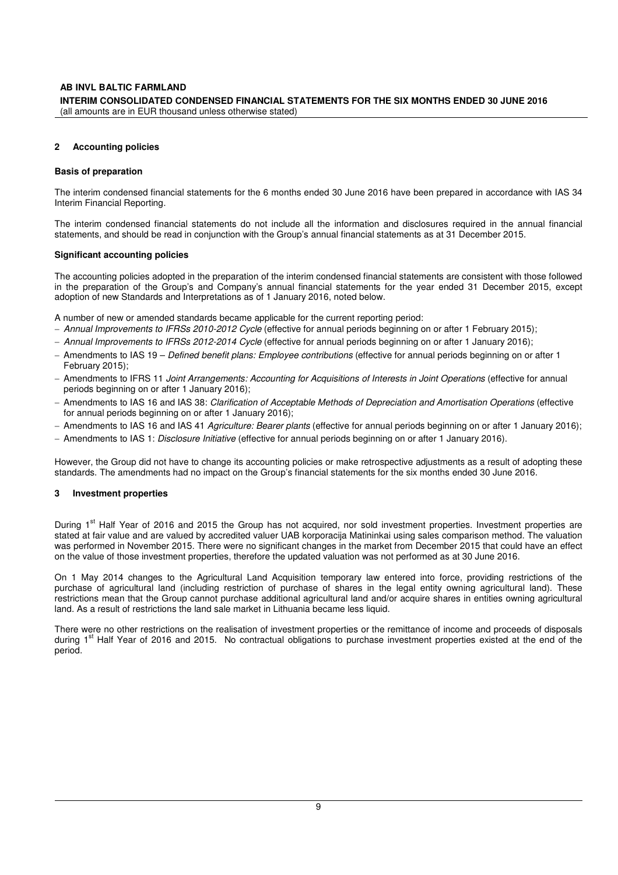#### **AB INVL BALTIC FARMLAND INTERIM CONSOLIDATED CONDENSED FINANCIAL STATEMENTS FOR THE SIX MONTHS ENDED 30 JUNE 2016**  (all amounts are in EUR thousand unless otherwise stated)

#### **2 Accounting policies**

#### **Basis of preparation**

The interim condensed financial statements for the 6 months ended 30 June 2016 have been prepared in accordance with IAS 34 Interim Financial Reporting.

The interim condensed financial statements do not include all the information and disclosures required in the annual financial statements, and should be read in conjunction with the Group's annual financial statements as at 31 December 2015.

#### **Significant accounting policies**

The accounting policies adopted in the preparation of the interim condensed financial statements are consistent with those followed in the preparation of the Group's and Company's annual financial statements for the year ended 31 December 2015, except adoption of new Standards and Interpretations as of 1 January 2016, noted below.

A number of new or amended standards became applicable for the current reporting period:

- − Annual Improvements to IFRSs 2010-2012 Cycle (effective for annual periods beginning on or after 1 February 2015);
- − Annual Improvements to IFRSs 2012-2014 Cycle (effective for annual periods beginning on or after 1 January 2016);
- − Amendments to IAS 19 Defined benefit plans: Employee contributions (effective for annual periods beginning on or after 1 February 2015);
- − Amendments to IFRS 11 Joint Arrangements: Accounting for Acquisitions of Interests in Joint Operations (effective for annual periods beginning on or after 1 January 2016);
- − Amendments to IAS 16 and IAS 38: Clarification of Acceptable Methods of Depreciation and Amortisation Operations (effective for annual periods beginning on or after 1 January 2016);
- − Amendments to IAS 16 and IAS 41 Agriculture: Bearer plants (effective for annual periods beginning on or after 1 January 2016);
- − Amendments to IAS 1: Disclosure Initiative (effective for annual periods beginning on or after 1 January 2016).

However, the Group did not have to change its accounting policies or make retrospective adjustments as a result of adopting these standards. The amendments had no impact on the Group's financial statements for the six months ended 30 June 2016.

#### **3 Investment properties**

During 1<sup>st</sup> Half Year of 2016 and 2015 the Group has not acquired, nor sold investment properties. Investment properties are stated at fair value and are valued by accredited valuer UAB korporacija Matininkai using sales comparison method. The valuation was performed in November 2015. There were no significant changes in the market from December 2015 that could have an effect on the value of those investment properties, therefore the updated valuation was not performed as at 30 June 2016.

On 1 May 2014 changes to the Agricultural Land Acquisition temporary law entered into force, providing restrictions of the purchase of agricultural land (including restriction of purchase of shares in the legal entity owning agricultural land). These restrictions mean that the Group cannot purchase additional agricultural land and/or acquire shares in entities owning agricultural land. As a result of restrictions the land sale market in Lithuania became less liquid.

There were no other restrictions on the realisation of investment properties or the remittance of income and proceeds of disposals during 1<sup>st</sup> Half Year of 2016 and 2015. No contractual obligations to purchase investment properties existed at the end of the period.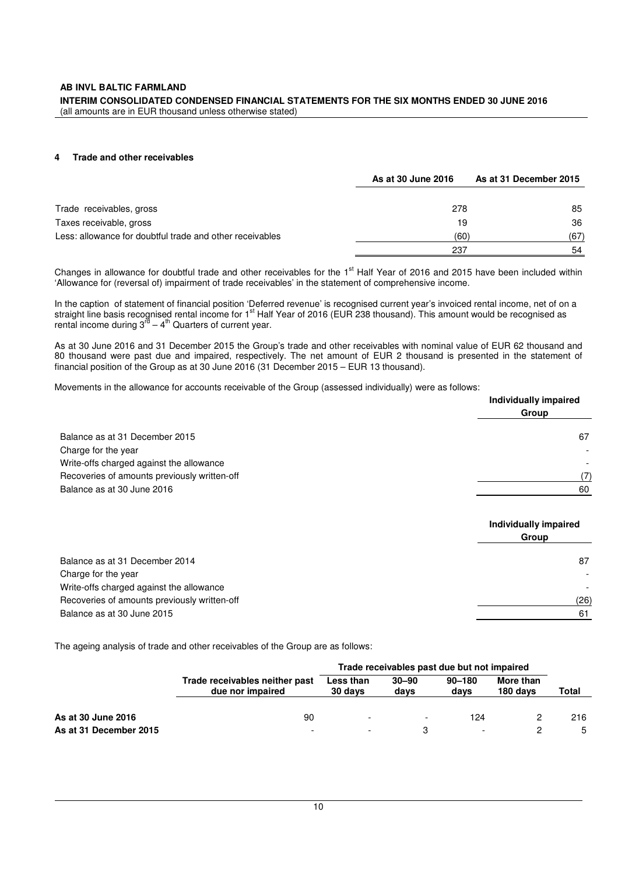#### **AB INVL BALTIC FARMLAND**

**INTERIM CONSOLIDATED CONDENSED FINANCIAL STATEMENTS FOR THE SIX MONTHS ENDED 30 JUNE 2016**  (all amounts are in EUR thousand unless otherwise stated)

### **4 Trade and other receivables**

|                                                          | As at 30 June 2016 | As at 31 December 2015 |
|----------------------------------------------------------|--------------------|------------------------|
|                                                          |                    |                        |
| Trade receivables, gross                                 | 278                | 85                     |
| Taxes receivable, gross                                  | 19                 | 36                     |
| Less: allowance for doubtful trade and other receivables | (60)               | (67)                   |
|                                                          | 237                | 54                     |

Changes in allowance for doubtful trade and other receivables for the 1<sup>st</sup> Half Year of 2016 and 2015 have been included within 'Allowance for (reversal of) impairment of trade receivables' in the statement of comprehensive income.

In the caption of statement of financial position 'Deferred revenue' is recognised current year's invoiced rental income, net of on a straight line basis recognised rental income for 1<sup>st</sup> Half Year of 2016 (EUR 238 thousand). This amount would be recognised as rental income during  $3^{rd} - 4^{th}$  Quarters of current year.

As at 30 June 2016 and 31 December 2015 the Group's trade and other receivables with nominal value of EUR 62 thousand and 80 thousand were past due and impaired, respectively. The net amount of EUR 2 thousand is presented in the statement of financial position of the Group as at 30 June 2016 (31 December 2015 – EUR 13 thousand).

Movements in the allowance for accounts receivable of the Group (assessed individually) were as follows:

|                                              | Individually impaired |
|----------------------------------------------|-----------------------|
|                                              | Group                 |
| Balance as at 31 December 2015               | 67                    |
| Charge for the year                          |                       |
| Write-offs charged against the allowance     |                       |
| Recoveries of amounts previously written-off | (7)                   |
| Balance as at 30 June 2016                   | 60                    |
|                                              |                       |

|                                              | Individually impaired<br>Group |
|----------------------------------------------|--------------------------------|
| Balance as at 31 December 2014               | 87                             |
| Charge for the year                          | $\overline{\phantom{a}}$       |
| Write-offs charged against the allowance     |                                |
| Recoveries of amounts previously written-off | (26)                           |
| Balance as at 30 June 2015                   | 61                             |

The ageing analysis of trade and other receivables of the Group are as follows:

|                        |                                                    | Trade receivables past due but not impaired |                          |                    |                       |       |
|------------------------|----------------------------------------------------|---------------------------------------------|--------------------------|--------------------|-----------------------|-------|
|                        | Trade receivables neither past<br>due nor impaired | Less than<br>30 days                        | $30 - 90$<br>days        | $90 - 180$<br>days | More than<br>180 days | Total |
| As at 30 June 2016     | 90                                                 |                                             | $\overline{\phantom{0}}$ | 124                |                       | 216   |
| As at 31 December 2015 | $\overline{\phantom{0}}$                           |                                             |                          |                    |                       | 5     |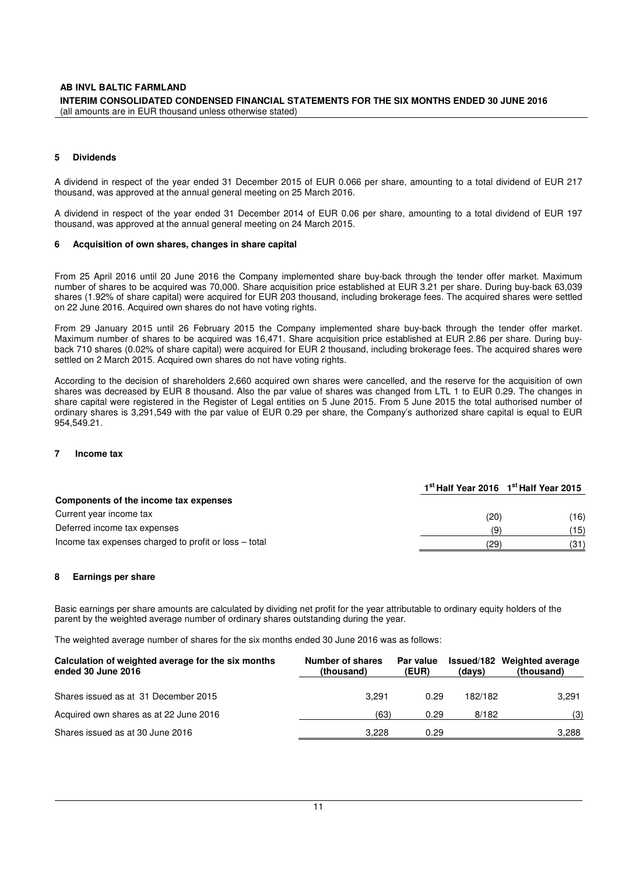#### **AB INVL BALTIC FARMLAND INTERIM CONSOLIDATED CONDENSED FINANCIAL STATEMENTS FOR THE SIX MONTHS ENDED 30 JUNE 2016**  (all amounts are in EUR thousand unless otherwise stated)

#### **5 Dividends**

A dividend in respect of the year ended 31 December 2015 of EUR 0.066 per share, amounting to a total dividend of EUR 217 thousand, was approved at the annual general meeting on 25 March 2016.

A dividend in respect of the year ended 31 December 2014 of EUR 0.06 per share, amounting to a total dividend of EUR 197 thousand, was approved at the annual general meeting on 24 March 2015.

#### **6 Acquisition of own shares, changes in share capital**

From 25 April 2016 until 20 June 2016 the Company implemented share buy-back through the tender offer market. Maximum number of shares to be acquired was 70,000. Share acquisition price established at EUR 3.21 per share. During buy-back 63,039 shares (1.92% of share capital) were acquired for EUR 203 thousand, including brokerage fees. The acquired shares were settled on 22 June 2016. Acquired own shares do not have voting rights.

From 29 January 2015 until 26 February 2015 the Company implemented share buy-back through the tender offer market. Maximum number of shares to be acquired was 16,471. Share acquisition price established at EUR 2.86 per share. During buyback 710 shares (0.02% of share capital) were acquired for EUR 2 thousand, including brokerage fees. The acquired shares were settled on 2 March 2015. Acquired own shares do not have voting rights.

According to the decision of shareholders 2,660 acquired own shares were cancelled, and the reserve for the acquisition of own shares was decreased by EUR 8 thousand. Also the par value of shares was changed from LTL 1 to EUR 0.29. The changes in share capital were registered in the Register of Legal entities on 5 June 2015. From 5 June 2015 the total authorised number of ordinary shares is 3,291,549 with the par value of EUR 0.29 per share, the Company's authorized share capital is equal to EUR 954,549.21.

#### **7 Income tax**

|                                                       |      | 1 <sup>st</sup> Half Year 2016 1 <sup>st</sup> Half Year 2015 |
|-------------------------------------------------------|------|---------------------------------------------------------------|
| Components of the income tax expenses                 |      |                                                               |
| Current year income tax                               | (20) | (16)                                                          |
| Deferred income tax expenses                          | (9   | (15)                                                          |
| Income tax expenses charged to profit or loss – total | (29) | (31)                                                          |

#### **8 Earnings per share**

Basic earnings per share amounts are calculated by dividing net profit for the year attributable to ordinary equity holders of the parent by the weighted average number of ordinary shares outstanding during the year.

The weighted average number of shares for the six months ended 30 June 2016 was as follows:

| Calculation of weighted average for the six months<br>ended 30 June 2016 | Number of shares<br>(thousand) | Par value<br>(EUR) | (days)  | Issued/182 Weighted average<br>(thousand) |
|--------------------------------------------------------------------------|--------------------------------|--------------------|---------|-------------------------------------------|
| Shares issued as at 31 December 2015                                     | 3.291                          | 0.29               | 182/182 | 3.291                                     |
| Acquired own shares as at 22 June 2016                                   | (63)                           | 0.29               | 8/182   | (3)                                       |
| Shares issued as at 30 June 2016                                         | 3.228                          | 0.29               |         | 3.288                                     |